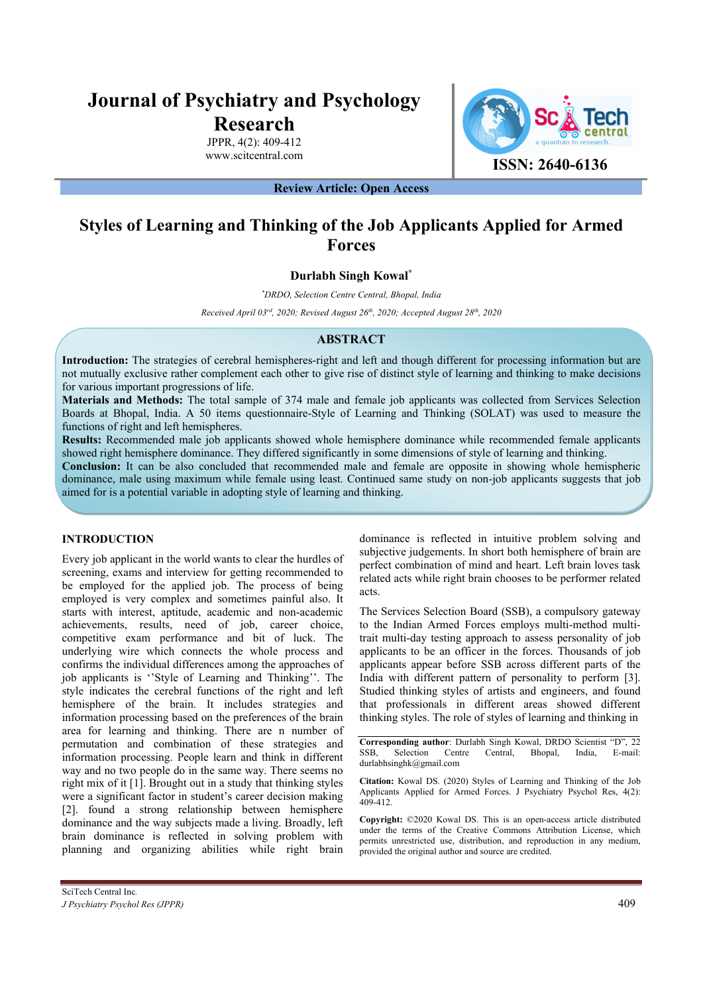# **Journal of Psychiatry and Psychology Research**

JPPR, 4(2): 409-412 www.scitcentral.com



**Review Article: Open Access** 

## **Styles of Learning and Thinking of the Job Applicants Applied for Armed Forces**

### **Durlabh Singh Kowal\***

*\* DRDO, Selection Centre Central, Bhopal, India* 

*Received April 03rd, 2020; Revised August 26th, 2020; Accepted August 28th, 2020*

#### **ABSTRACT**

**Introduction:** The strategies of cerebral hemispheres-right and left and though different for processing information but are not mutually exclusive rather complement each other to give rise of distinct style of learning and thinking to make decisions for various important progressions of life.

**Materials and Methods:** The total sample of 374 male and female job applicants was collected from Services Selection Boards at Bhopal, India. A 50 items questionnaire-Style of Learning and Thinking (SOLAT) was used to measure the functions of right and left hemispheres.

**Results:** Recommended male job applicants showed whole hemisphere dominance while recommended female applicants showed right hemisphere dominance. They differed significantly in some dimensions of style of learning and thinking.

**Conclusion:** It can be also concluded that recommended male and female are opposite in showing whole hemispheric dominance, male using maximum while female using least. Continued same study on non-job applicants suggests that job aimed for is a potential variable in adopting style of learning and thinking.

#### **INTRODUCTION**

Every job applicant in the world wants to clear the hurdles of screening, exams and interview for getting recommended to be employed for the applied job. The process of being employed is very complex and sometimes painful also. It starts with interest, aptitude, academic and non-academic achievements, results, need of job, career choice, competitive exam performance and bit of luck. The underlying wire which connects the whole process and confirms the individual differences among the approaches of job applicants is ''Style of Learning and Thinking''. The style indicates the cerebral functions of the right and left hemisphere of the brain. It includes strategies and information processing based on the preferences of the brain area for learning and thinking. There are n number of permutation and combination of these strategies and information processing. People learn and think in different way and no two people do in the same way. There seems no right mix of it [1]. Brought out in a study that thinking styles were a significant factor in student's career decision making [2]. found a strong relationship between hemisphere dominance and the way subjects made a living. Broadly, left brain dominance is reflected in solving problem with planning and organizing abilities while right brain

dominance is reflected in intuitive problem solving and subjective judgements. In short both hemisphere of brain are perfect combination of mind and heart. Left brain loves task related acts while right brain chooses to be performer related acts.

The Services Selection Board (SSB), a compulsory gateway to the Indian Armed Forces employs multi-method multitrait multi-day testing approach to assess personality of job applicants to be an officer in the forces. Thousands of job applicants appear before SSB across different parts of the India with different pattern of personality to perform [3]. Studied thinking styles of artists and engineers, and found that professionals in different areas showed different thinking styles. The role of styles of learning and thinking in

**Corresponding author:** Durlabh Singh Kowal, DRDO Scientist "D", 22 SSB, Selection Centre Central, Bhopal, India, E-mail: Selection Centre Central, Bhopal, India, durlabhsinghk@gmail.com

**Citation:** Kowal DS. (2020) Styles of Learning and Thinking of the Job Applicants Applied for Armed Forces. J Psychiatry Psychol Res, 4(2): 409-412.

**Copyright:** ©2020 Kowal DS. This is an open-access article distributed under the terms of the Creative Commons Attribution License, which permits unrestricted use, distribution, and reproduction in any medium, provided the original author and source are credited.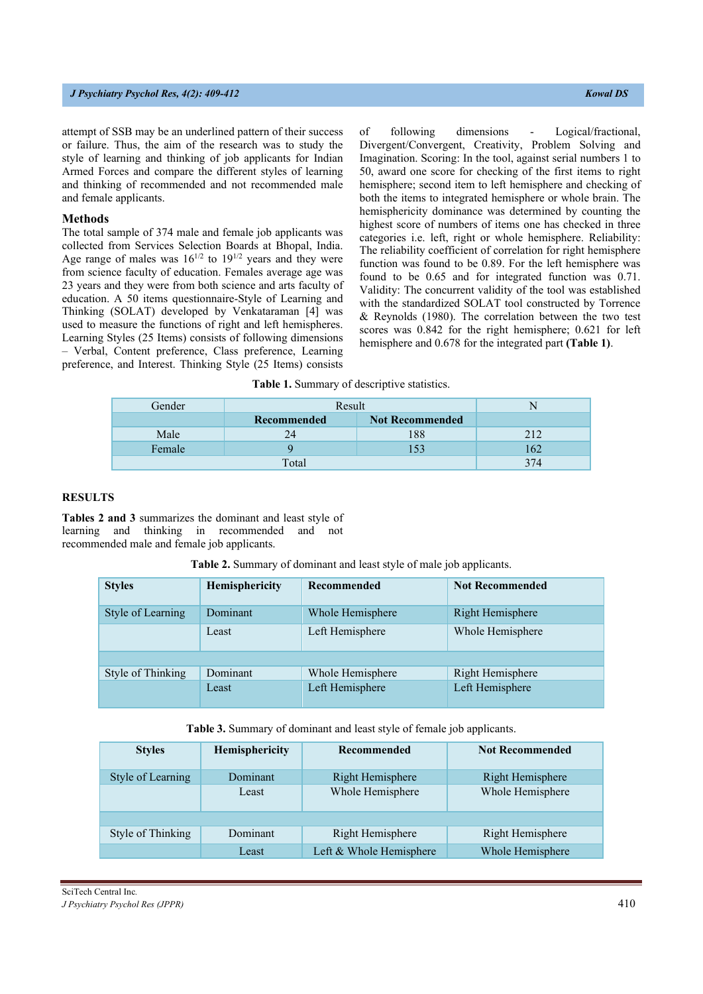#### *J Psychiatry Psychol Res, 4(2): 409-412 Kowal DS*

attempt of SSB may be an underlined pattern of their success or failure. Thus, the aim of the research was to study the style of learning and thinking of job applicants for Indian Armed Forces and compare the different styles of learning and thinking of recommended and not recommended male and female applicants.

#### **Methods**

The total sample of 374 male and female job applicants was collected from Services Selection Boards at Bhopal, India. Age range of males was  $16^{1/2}$  to  $19^{1/2}$  years and they were from science faculty of education. Females average age was 23 years and they were from both science and arts faculty of education. A 50 items questionnaire-Style of Learning and Thinking (SOLAT) developed by Venkataraman [4] was used to measure the functions of right and left hemispheres. Learning Styles (25 Items) consists of following dimensions – Verbal, Content preference, Class preference, Learning preference, and Interest. Thinking Style (25 Items) consists of following dimensions - Logical/fractional, Divergent/Convergent, Creativity, Problem Solving and Imagination. Scoring: In the tool, against serial numbers 1 to 50, award one score for checking of the first items to right hemisphere; second item to left hemisphere and checking of both the items to integrated hemisphere or whole brain. The hemisphericity dominance was determined by counting the highest score of numbers of items one has checked in three categories i.e. left, right or whole hemisphere. Reliability: The reliability coefficient of correlation for right hemisphere function was found to be 0.89. For the left hemisphere was found to be 0.65 and for integrated function was 0.71. Validity: The concurrent validity of the tool was established with the standardized SOLAT tool constructed by Torrence & Reynolds (1980). The correlation between the two test scores was 0.842 for the right hemisphere; 0.621 for left hemisphere and 0.678 for the integrated part **(Table 1)**.

**Table 1.** Summary of descriptive statistics.

| Gender | Result             |                        |     |
|--------|--------------------|------------------------|-----|
|        | <b>Recommended</b> | <b>Not Recommended</b> |     |
| Male   | 24                 | 188                    | 212 |
| Female |                    |                        | 162 |
|        | 374                |                        |     |

#### **RESULTS**

**Tables 2 and 3** summarizes the dominant and least style of learning and thinking in recommended and not recommended male and female job applicants.

| Table 2. Summary of dominant and least style of male job applicants. |  |  |  |  |  |
|----------------------------------------------------------------------|--|--|--|--|--|
|                                                                      |  |  |  |  |  |

| <b>Styles</b>     | Hemisphericity | Recommended      | <b>Not Recommended</b> |
|-------------------|----------------|------------------|------------------------|
| Style of Learning | Dominant       | Whole Hemisphere | Right Hemisphere       |
|                   | Least          | Left Hemisphere  | Whole Hemisphere       |
|                   |                |                  |                        |
| Style of Thinking | Dominant       | Whole Hemisphere | Right Hemisphere       |
|                   | Least          | Left Hemisphere  | Left Hemisphere        |

**Table 3.** Summary of dominant and least style of female job applicants.

| <b>Styles</b>     | Hemisphericity | Recommended             | <b>Not Recommended</b> |
|-------------------|----------------|-------------------------|------------------------|
| Style of Learning | Dominant       | Right Hemisphere        | Right Hemisphere       |
|                   | Least          | Whole Hemisphere        | Whole Hemisphere       |
|                   |                |                         |                        |
| Style of Thinking | Dominant       | Right Hemisphere        | Right Hemisphere       |
|                   | Least          | Left & Whole Hemisphere | Whole Hemisphere       |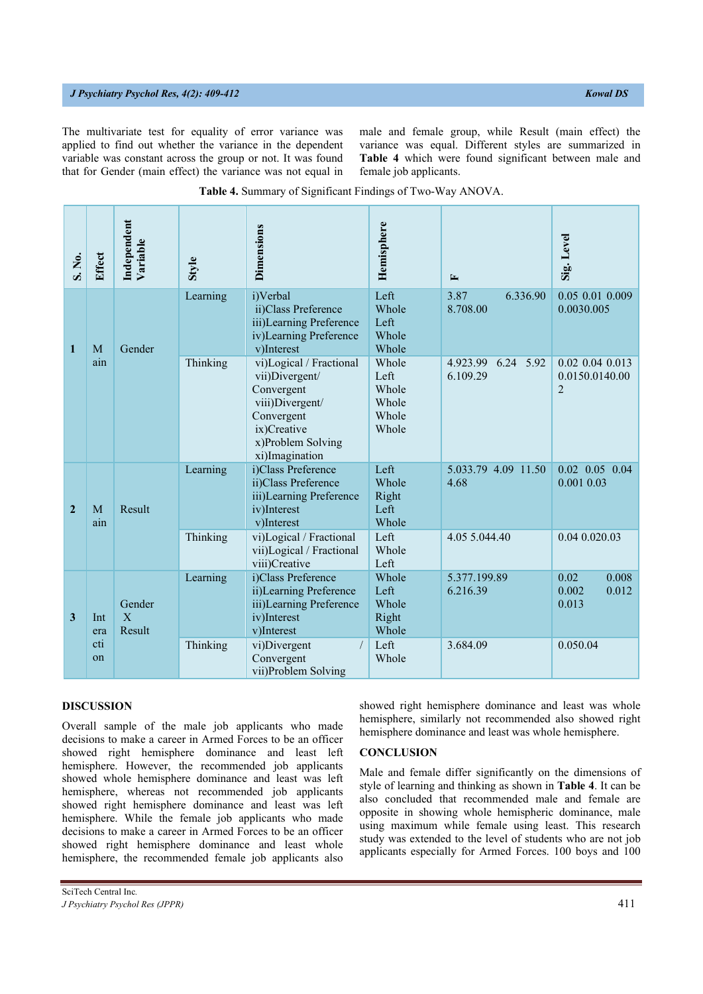#### *J Psychiatry Psychol Res, 4(2): 409-412 Kowal DS*

The multivariate test for equality of error variance was applied to find out whether the variance in the dependent variable was constant across the group or not. It was found that for Gender (main effect) the variance was not equal in male and female group, while Result (main effect) the variance was equal. Different styles are summarized in **Table 4** which were found significant between male and female job applicants.

| S. No.               | Effect                     | Independent<br>Variable | Style                                                                | Dimensions                                                                                                                                     | Hemisphere                                        | $\mathbf{r}$                      | Sig. Level                                            |
|----------------------|----------------------------|-------------------------|----------------------------------------------------------------------|------------------------------------------------------------------------------------------------------------------------------------------------|---------------------------------------------------|-----------------------------------|-------------------------------------------------------|
| $\mathbf{1}$         | M                          | Gender                  | Learning                                                             | i)Verbal<br>ii)Class Preference<br>iii)Learning Preference<br>iv)Learning Preference<br>v)Interest                                             | Left<br>Whole<br>Left<br>Whole<br>Whole           | 3.87<br>6.336.90<br>8.708.00      | 0.05 0.01 0.009<br>0.0030.005                         |
|                      | ain                        |                         | Thinking                                                             | vi)Logical / Fractional<br>vii)Divergent/<br>Convergent<br>viii)Divergent/<br>Convergent<br>ix)Creative<br>x)Problem Solving<br>xi)Imagination | Whole<br>Left<br>Whole<br>Whole<br>Whole<br>Whole | 6.24 5.92<br>4.923.99<br>6.109.29 | $0.02$ 0.04 0.013<br>0.0150.0140.00<br>$\overline{2}$ |
| $\overline{2}$       | Result<br>M<br>ain         |                         | Learning                                                             | i)Class Preference<br>ii)Class Preference<br>iii)Learning Preference<br>iv)Interest<br>v)Interest                                              | Left<br>Whole<br>Right<br>Left<br>Whole           | 5.033.79 4.09 11.50<br>4.68       | $0.02$ $0.05$ $0.04$<br>0.001 0.03                    |
|                      |                            | Thinking                | vi)Logical / Fractional<br>vii)Logical / Fractional<br>viii)Creative | Left<br>Whole<br>Left                                                                                                                          | 4.05 5.044.40                                     | 0.04 0.020.03                     |                                                       |
| $\mathbf{3}$         | $\mathbf{X}$<br>Int<br>era | Gender<br>Result        | Learning                                                             | i)Class Preference<br>ii)Learning Preference<br>iii)Learning Preference<br>iv)Interest<br>v)Interest                                           | Whole<br>Left<br>Whole<br>Right<br>Whole          | 5.377.199.89<br>6.216.39          | 0.02<br>0.008<br>0.002<br>0.012<br>0.013              |
| cti<br><sub>on</sub> |                            |                         | Thinking                                                             | vi)Divergent<br>Convergent<br>vii)Problem Solving                                                                                              | Left<br>Whole                                     | 3.684.09                          | 0.050.04                                              |

|  | Table 4. Summary of Significant Findings of Two-Way ANOVA. |
|--|------------------------------------------------------------|
|  |                                                            |

#### **DISCUSSION**

Overall sample of the male job applicants who made decisions to make a career in Armed Forces to be an officer showed right hemisphere dominance and least left hemisphere. However, the recommended job applicants showed whole hemisphere dominance and least was left hemisphere, whereas not recommended job applicants showed right hemisphere dominance and least was left hemisphere. While the female job applicants who made decisions to make a career in Armed Forces to be an officer showed right hemisphere dominance and least whole hemisphere, the recommended female job applicants also

showed right hemisphere dominance and least was whole hemisphere, similarly not recommended also showed right hemisphere dominance and least was whole hemisphere.

#### **CONCLUSION**

Male and female differ significantly on the dimensions of style of learning and thinking as shown in **Table 4**. It can be also concluded that recommended male and female are opposite in showing whole hemispheric dominance, male using maximum while female using least. This research study was extended to the level of students who are not job applicants especially for Armed Forces. 100 boys and 100